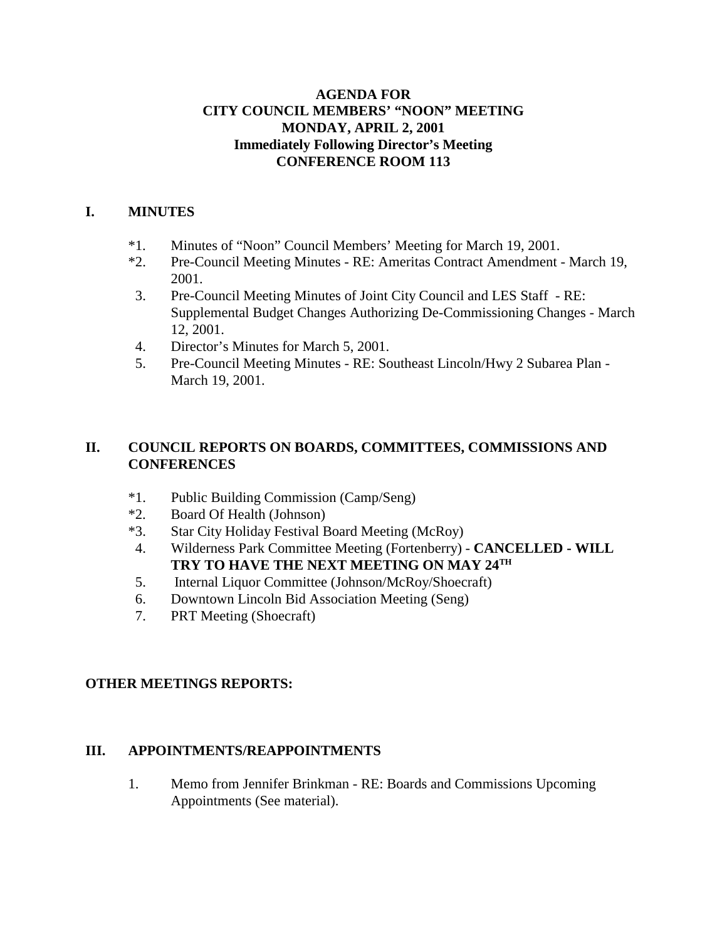## **AGENDA FOR CITY COUNCIL MEMBERS' "NOON" MEETING MONDAY, APRIL 2, 2001 Immediately Following Director's Meeting CONFERENCE ROOM 113**

## **I. MINUTES**

- \*1. Minutes of "Noon" Council Members' Meeting for March 19, 2001.
- \*2. Pre-Council Meeting Minutes RE: Ameritas Contract Amendment March 19, 2001.
- 3. Pre-Council Meeting Minutes of Joint City Council and LES Staff RE: Supplemental Budget Changes Authorizing De-Commissioning Changes - March 12, 2001.
- 4. Director's Minutes for March 5, 2001.
- 5. Pre-Council Meeting Minutes RE: Southeast Lincoln/Hwy 2 Subarea Plan March 19, 2001.

# **II. COUNCIL REPORTS ON BOARDS, COMMITTEES, COMMISSIONS AND CONFERENCES**

- \*1. Public Building Commission (Camp/Seng)
- \*2. Board Of Health (Johnson)
- \*3. Star City Holiday Festival Board Meeting (McRoy)
- 4. Wilderness Park Committee Meeting (Fortenberry) **CANCELLED WILL TRY TO HAVE THE NEXT MEETING ON MAY 24TH**
- 5. Internal Liquor Committee (Johnson/McRoy/Shoecraft)
- 6. Downtown Lincoln Bid Association Meeting (Seng)
- 7. PRT Meeting (Shoecraft)

## **OTHER MEETINGS REPORTS:**

## **III. APPOINTMENTS/REAPPOINTMENTS**

1. Memo from Jennifer Brinkman - RE: Boards and Commissions Upcoming Appointments (See material).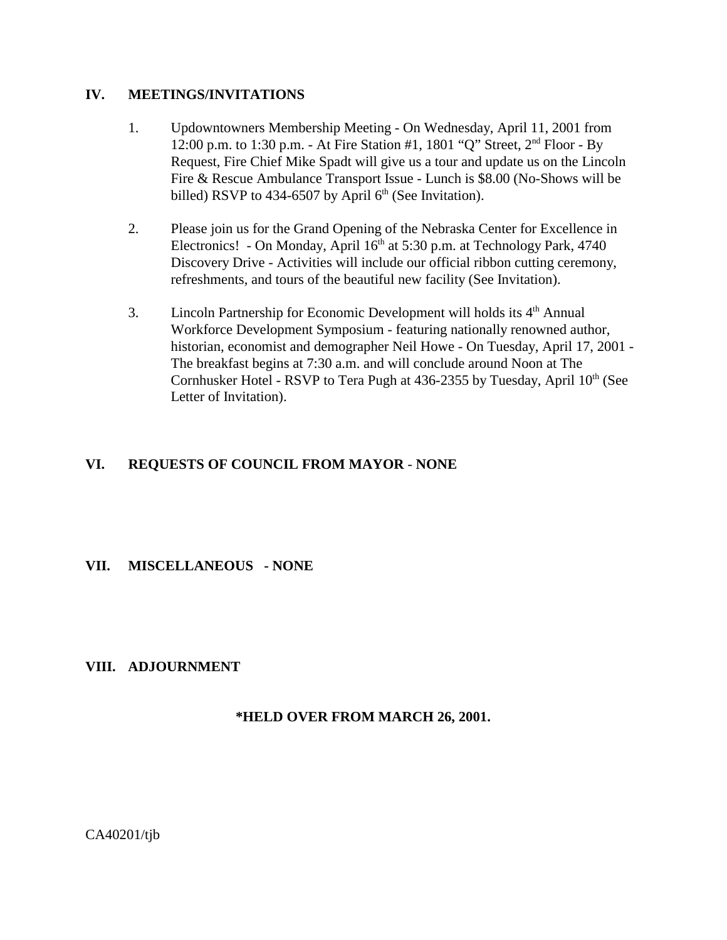#### **IV. MEETINGS/INVITATIONS**

- 1. Updowntowners Membership Meeting On Wednesday, April 11, 2001 from 12:00 p.m. to 1:30 p.m. - At Fire Station #1, 1801 "Q" Street, 2nd Floor - By Request, Fire Chief Mike Spadt will give us a tour and update us on the Lincoln Fire & Rescue Ambulance Transport Issue - Lunch is \$8.00 (No-Shows will be billed) RSVP to 434-6507 by April  $6<sup>th</sup>$  (See Invitation).
- 2. Please join us for the Grand Opening of the Nebraska Center for Excellence in Electronics! - On Monday, April  $16<sup>th</sup>$  at 5:30 p.m. at Technology Park, 4740 Discovery Drive - Activities will include our official ribbon cutting ceremony, refreshments, and tours of the beautiful new facility (See Invitation).
- 3. Lincoln Partnership for Economic Development will holds its 4<sup>th</sup> Annual Workforce Development Symposium - featuring nationally renowned author, historian, economist and demographer Neil Howe - On Tuesday, April 17, 2001 - The breakfast begins at 7:30 a.m. and will conclude around Noon at The Cornhusker Hotel - RSVP to Tera Pugh at  $436-2355$  by Tuesday, April  $10<sup>th</sup>$  (See Letter of Invitation).

## **VI. REQUESTS OF COUNCIL FROM MAYOR** - **NONE**

## **VII. MISCELLANEOUS - NONE**

#### **VIII. ADJOURNMENT**

#### **\*HELD OVER FROM MARCH 26, 2001.**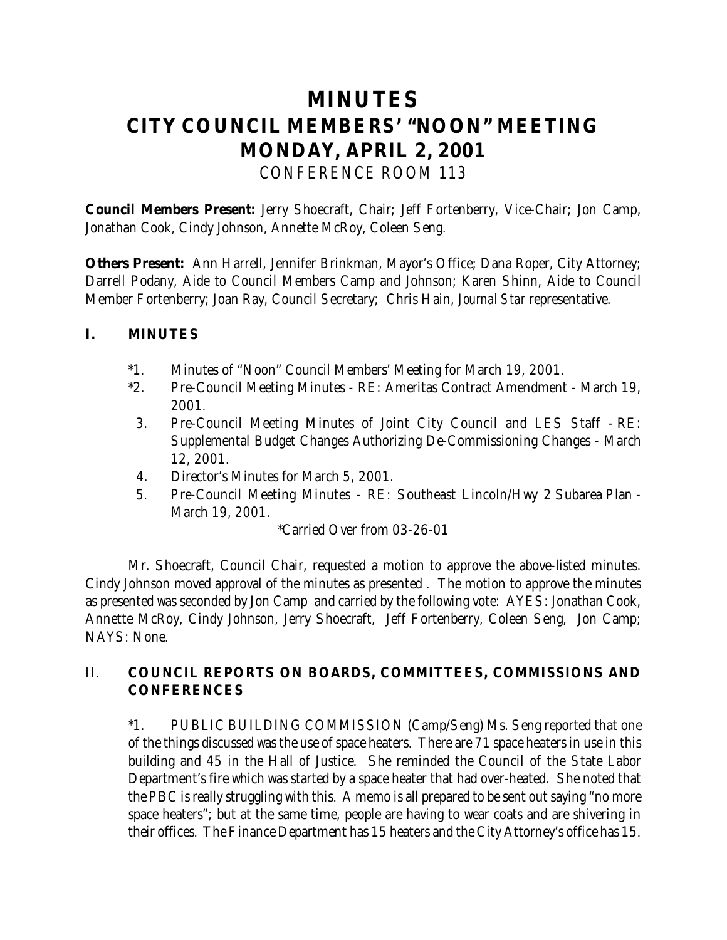# **MINUTES CITY COUNCIL MEMBERS' "NOON" MEETING MONDAY, APRIL 2, 2001** *CONFERENCE ROOM 113*

**Council Members Present:** Jerry Shoecraft, Chair; Jeff Fortenberry, Vice-Chair; Jon Camp, Jonathan Cook, Cindy Johnson, Annette McRoy, Coleen Seng.

**Others Present:** Ann Harrell, Jennifer Brinkman, Mayor's Office; Dana Roper, City Attorney; Darrell Podany, Aide to Council Members Camp and Johnson; Karen Shinn, Aide to Council Member Fortenberry; Joan Ray, Council Secretary; Chris Hain, *Journal Star* representative.

## **I. MINUTES**

- \*1. Minutes of "Noon" Council Members' Meeting for March 19, 2001.
- \*2. Pre-Council Meeting Minutes RE: Ameritas Contract Amendment March 19, 2001.
- 3. Pre-Council Meeting Minutes of Joint City Council and LES Staff RE: Supplemental Budget Changes Authorizing De-Commissioning Changes - March 12, 2001.
- 4. Director's Minutes for March 5, 2001.
- 5. Pre-Council Meeting Minutes RE: Southeast Lincoln/Hwy 2 Subarea Plan March 19, 2001.

\*Carried Over from 03-26-01

Mr. Shoecraft, Council Chair, requested a motion to approve the above-listed minutes. Cindy Johnson moved approval of the minutes as presented . The motion to approve the minutes as presented was seconded by Jon Camp and carried by the following vote: AYES: Jonathan Cook, Annette McRoy, Cindy Johnson, Jerry Shoecraft, Jeff Fortenberry, Coleen Seng, Jon Camp; NAYS: None.

# II. **COUNCIL REPORTS ON BOARDS, COMMITTEES, COMMISSIONS AND CONFERENCES**

\*1. PUBLIC BUILDING COMMISSION (Camp/Seng) Ms. Seng reported that one of the things discussed was the use of space heaters. There are 71 space heaters in use in this building and 45 in the Hall of Justice. She reminded the Council of the State Labor Department's fire which was started by a space heater that had over-heated. She noted that the PBC is really struggling with this. A memo is all prepared to be sent out saying "no more space heaters"; but at the same time, people are having to wear coats and are shivering in their offices. The Finance Department has 15 heaters and the City Attorney's office has 15.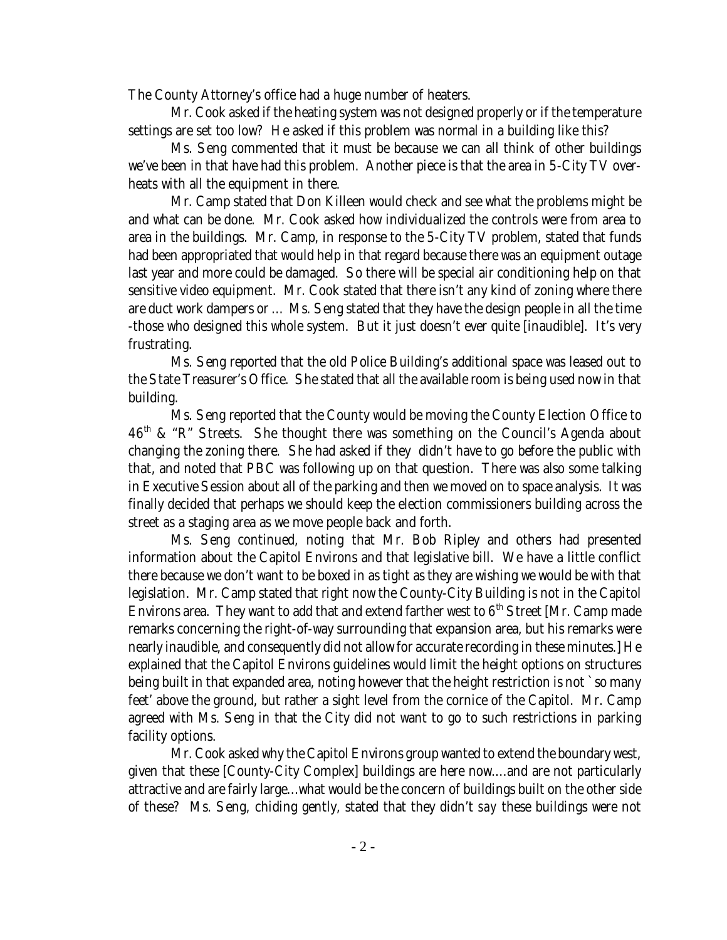The County Attorney's office had a huge number of heaters.

Mr. Cook asked if the heating system was not designed properly or if the temperature settings are set too low? He asked if this problem was normal in a building like this?

Ms. Seng commented that it must be because we can all think of other buildings we've been in that have had this problem. Another piece is that the area in 5-City TV overheats with all the equipment in there.

Mr. Camp stated that Don Killeen would check and see what the problems might be and what can be done. Mr. Cook asked how individualized the controls were from area to area in the buildings. Mr. Camp, in response to the 5-City TV problem, stated that funds had been appropriated that would help in that regard because there was an equipment outage last year and more could be damaged. So there will be special air conditioning help on that sensitive video equipment. Mr. Cook stated that there isn't any kind of zoning where there are duct work dampers or ... Ms. Seng stated that they have the design people in all the time -those who designed this whole system. But it just doesn't ever quite [inaudible]. It's very frustrating.

Ms. Seng reported that the old Police Building's additional space was leased out to the State Treasurer's Office. She stated that all the available room is being used now in that building.

 Ms. Seng reported that the County would be moving the County Election Office to  $46<sup>th</sup>$  & "R" Streets. She thought there was something on the Council's Agenda about changing the zoning there. She had asked if they didn't have to go before the public with that, and noted that PBC was following up on that question. There was also some talking in Executive Session about all of the parking and then we moved on to space analysis. It was finally decided that perhaps we should keep the election commissioners building across the street as a staging area as we move people back and forth.

Ms. Seng continued, noting that Mr. Bob Ripley and others had presented information about the Capitol Environs and that legislative bill. We have a little conflict there because we don't want to be boxed in as tight as they are wishing we would be with that legislation. Mr. Camp stated that right now the County-City Building is not in the Capitol Environs area. They want to add that and extend farther west to  $6<sup>th</sup>$  Street [Mr. Camp made remarks concerning the right-of-way surrounding that expansion area, but his remarks were nearly inaudible, and consequently did not allow for accurate recording in these minutes.] He explained that the Capitol Environs guidelines would limit the height options on structures being built in that expanded area, noting however that the height restriction is not `so many feet' above the ground, but rather a sight level from the cornice of the Capitol. Mr. Camp agreed with Ms. Seng in that the City did not want to go to such restrictions in parking facility options.

Mr. Cook asked why the Capitol Environs group wanted to extend the boundary west, given that these [County-City Complex] buildings are here now....and are not particularly attractive and are fairly large...what would be the concern of buildings built on the other side of these? Ms. Seng, chiding gently, stated that they didn't *say* these buildings were not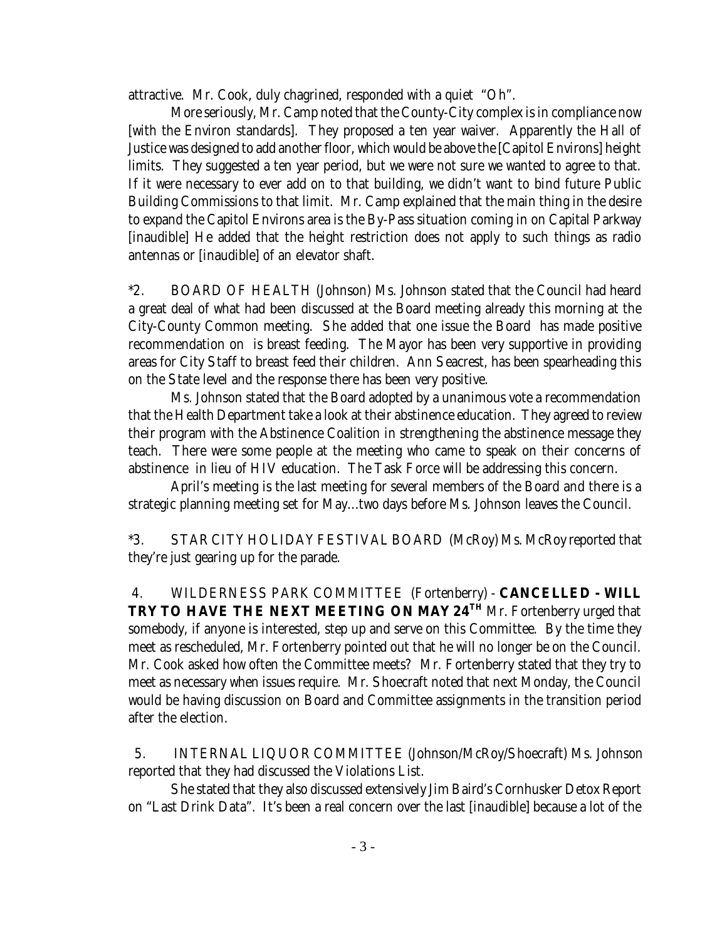attractive. Mr. Cook, duly chagrined, responded with a quiet "Oh".

More seriously, Mr. Camp noted that the County-City complex is in compliance now [with the Environ standards]. They proposed a ten year waiver. Apparently the Hall of Justice was designed to add another floor, which would be above the [Capitol Environs] height limits. They suggested a ten year period, but we were not sure we wanted to agree to that. If it were necessary to ever add on to that building, we didn't want to bind future Public Building Commissions to that limit. Mr. Camp explained that the main thing in the desire to expand the Capitol Environs area is the By-Pass situation coming in on Capital Parkway [inaudible] He added that the height restriction does not apply to such things as radio antennas or [inaudible] of an elevator shaft.

\*2. BOARD OF HEALTH (Johnson) Ms. Johnson stated that the Council had heard a great deal of what had been discussed at the Board meeting already this morning at the City-County Common meeting. She added that one issue the Board has made positive recommendation on is breast feeding. The Mayor has been very supportive in providing areas for City Staff to breast feed their children. Ann Seacrest, has been spearheading this on the State level and the response there has been very positive.

Ms. Johnson stated that the Board adopted by a unanimous vote a recommendation that the Health Department take a look at their abstinence education. They agreed to review their program with the Abstinence Coalition in strengthening the abstinence message they teach. There were some people at the meeting who came to speak on their concerns of abstinence in lieu of HIV education. The Task Force will be addressing this concern.

April's meeting is the last meeting for several members of the Board and there is a strategic planning meeting set for May...two days before Ms. Johnson leaves the Council.

\*3. STAR CITY HOLIDAY FESTIVAL BOARD (McRoy) Ms. McRoy reported that they're just gearing up for the parade.

 4. WILDERNESS PARK COMMITTEE (Fortenberry) - **CANCELLED - WILL TRY TO HAVE THE NEXT MEETING ON MAY 24<sup>TH</sup> Mr. Fortenberry urged that** somebody, if anyone is interested, step up and serve on this Committee. By the time they meet as rescheduled, Mr. Fortenberry pointed out that he will no longer be on the Council. Mr. Cook asked how often the Committee meets? Mr. Fortenberry stated that they try to meet as necessary when issues require. Mr. Shoecraft noted that next Monday, the Council would be having discussion on Board and Committee assignments in the transition period after the election.

 5. INTERNAL LIQUOR COMMITTEE (Johnson/McRoy/Shoecraft) Ms. Johnson reported that they had discussed the Violations List.

She stated that they also discussed extensively Jim Baird's Cornhusker Detox Report on "Last Drink Data". It's been a real concern over the last [inaudible] because a lot of the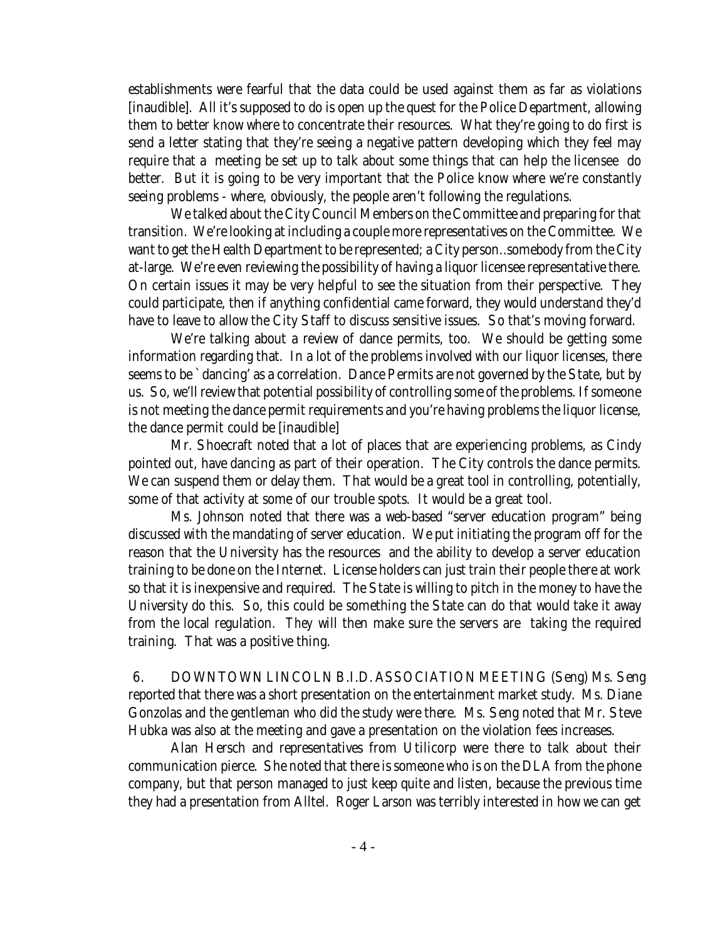establishments were fearful that the data could be used against them as far as violations [inaudible]. All it's supposed to do is open up the quest for the Police Department, allowing them to better know where to concentrate their resources. What they're going to do first is send a letter stating that they're seeing a negative pattern developing which they feel may require that a meeting be set up to talk about some things that can help the licensee do better. But it is going to be very important that the Police know where we're constantly seeing problems - where, obviously, the people aren't following the regulations.

We talked about the City Council Members on the Committee and preparing for that transition. We're looking at including a couple more representatives on the Committee. We want to get the Health Department to be represented; a City person..somebody from the City at-large. We're even reviewing the possibility of having a liquor licensee representative there. On certain issues it may be very helpful to see the situation from their perspective. They could participate, then if anything confidential came forward, they would understand they'd have to leave to allow the City Staff to discuss sensitive issues. So that's moving forward.

We're talking about a review of dance permits, too. We should be getting some information regarding that. In a lot of the problems involved with our liquor licenses, there seems to be `dancing' as a correlation. Dance Permits are not governed by the State, but by us. So, we'll review that potential possibility of controlling some of the problems. If someone is not meeting the dance permit requirements and you're having problems the liquor license, the dance permit could be [inaudible]

Mr. Shoecraft noted that a lot of places that are experiencing problems, as Cindy pointed out, have dancing as part of their operation. The City controls the dance permits. We can suspend them or delay them. That would be a great tool in controlling, potentially, some of that activity at some of our trouble spots. It would be a great tool.

Ms. Johnson noted that there was a web-based "server education program" being discussed with the mandating of server education. We put initiating the program off for the reason that the University has the resources and the ability to develop a server education training to be done on the Internet. License holders can just train their people there at work so that it is inexpensive and required. The State is willing to pitch in the money to have the University do this. So, this could be something the State can do that would take it away from the local regulation. *They* will then make sure the servers are taking the required training. That was a positive thing.

 6. DOWNTOWN LINCOLN B.I.D. ASSOCIATION MEETING (Seng) Ms. Seng reported that there was a short presentation on the entertainment market study. Ms. Diane Gonzolas and the gentleman who did the study were there. Ms. Seng noted that Mr. Steve Hubka was also at the meeting and gave a presentation on the violation fees increases.

Alan Hersch and representatives from Utilicorp were there to talk about their communication pierce. She noted that there is someone who is on the DLA from the phone company, but that person managed to just keep quite and listen, because the previous time they had a presentation from Alltel. Roger Larson was terribly interested in how we can get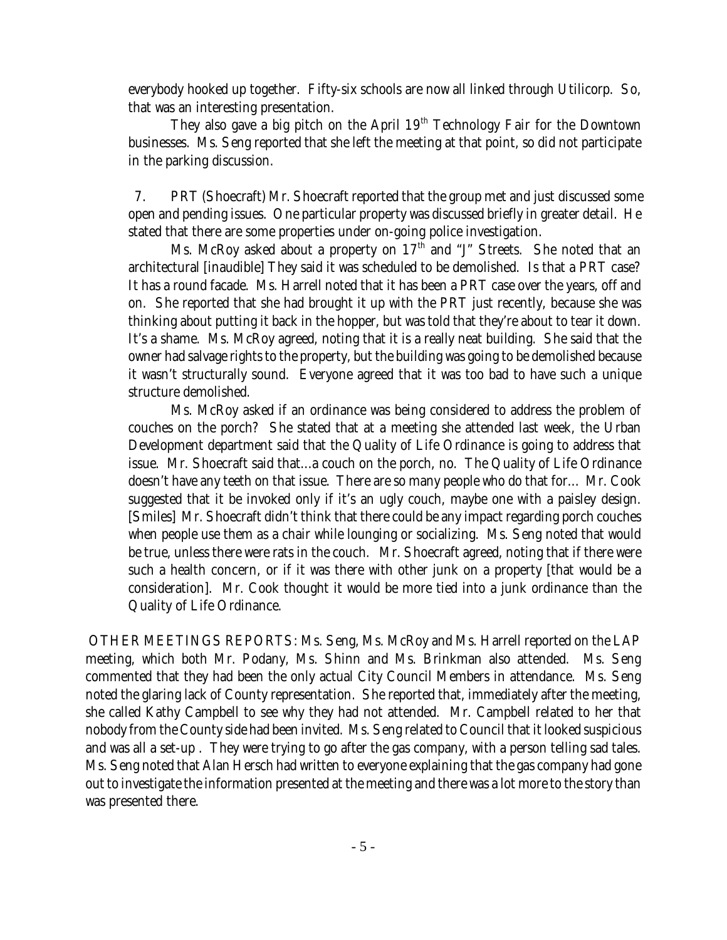everybody hooked up together. Fifty-six schools are now all linked through Utilicorp. So, that was an interesting presentation.

They also gave a big pitch on the April  $19<sup>th</sup>$  Technology Fair for the Downtown businesses. Ms. Seng reported that she left the meeting at that point, so did not participate in the parking discussion.

 7. PRT (Shoecraft) Mr. Shoecraft reported that the group met and just discussed some open and pending issues. One particular property was discussed briefly in greater detail. He stated that there are some properties under on-going police investigation.

Ms. McRoy asked about a property on  $17<sup>th</sup>$  and "J" Streets. She noted that an architectural [inaudible] They said it was scheduled to be demolished. Is that a PRT case? It has a round facade. Ms. Harrell noted that it has been a PRT case over the years, off and on. She reported that she had brought it up with the PRT just recently, because she was thinking about putting it back in the hopper, but was told that they're about to tear it down. It's a shame. Ms. McRoy agreed, noting that it is a really neat building. She said that the owner had salvage rights to the property, but the building was going to be demolished because it wasn't structurally sound. Everyone agreed that it was too bad to have such a unique structure demolished.

Ms. McRoy asked if an ordinance was being considered to address the problem of couches on the porch? She stated that at a meeting she attended last week, the Urban Development department said that the Quality of Life Ordinance is going to address that issue. Mr. Shoecraft said that...a couch on the porch, no. The Quality of Life Ordinance doesn't have any teeth on that issue. There are so many people who do that for... Mr. Cook suggested that it be invoked only if it's an ugly couch, maybe one with a paisley design. [Smiles] Mr. Shoecraft didn't think that there could be any impact regarding porch couches when people use them as a chair while lounging or socializing. Ms. Seng noted that would be true, unless there were rats in the couch. Mr. Shoecraft agreed, noting that if there were such a health concern, or if it was there with other junk on a property [that would be a consideration]. Mr. Cook thought it would be more tied into a junk ordinance than the Quality of Life Ordinance.

 OTHER MEETINGS REPORTS: Ms. Seng, Ms. McRoy and Ms. Harrell reported on the LAP meeting, which both Mr. Podany, Ms. Shinn and Ms. Brinkman also attended. Ms. Seng commented that they had been the only actual City Council Members in attendance. Ms. Seng noted the glaring lack of County representation. She reported that, immediately after the meeting, she called Kathy Campbell to see why they had not attended. Mr. Campbell related to her that nobody from the County side had been invited. Ms. Seng related to Council that it looked suspicious and was all a set-up . They were trying to go after the gas company, with a person telling sad tales. Ms. Seng noted that Alan Hersch had written to everyone explaining that the gas company had gone out to investigate the information presented at the meeting and there was a lot more to the story than was presented there.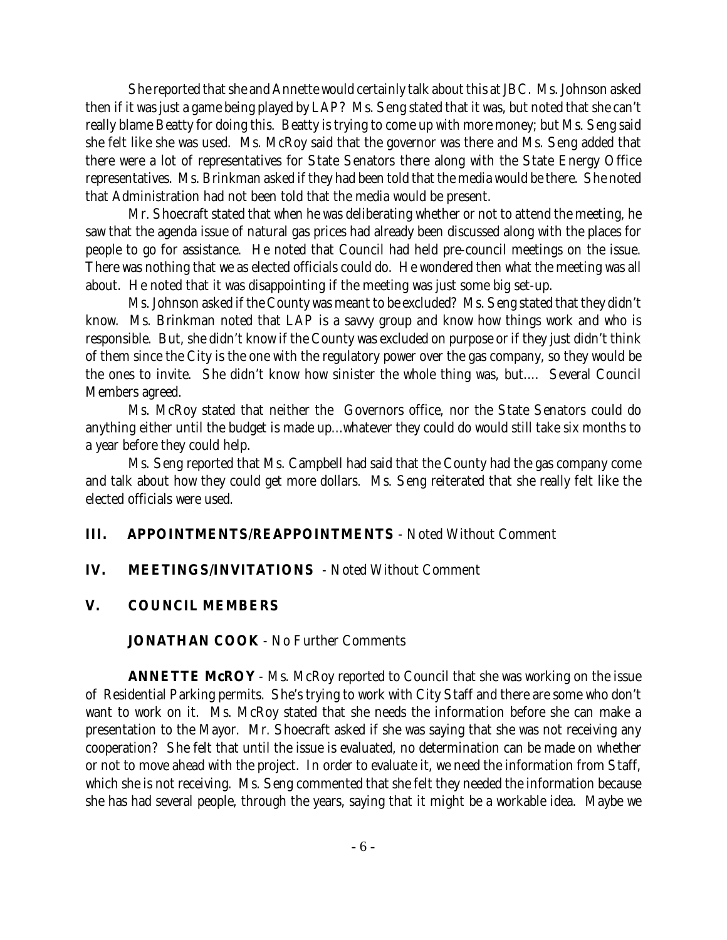She reported that she and Annette would certainly talk about this at JBC. Ms. Johnson asked then if it was just a game being played by LAP? Ms. Seng stated that it was, but noted that she can't really blame Beatty for doing this. Beatty is trying to come up with more money; but Ms. Seng said she felt like she was used. Ms. McRoy said that the governor was there and Ms. Seng added that there were a lot of representatives for State Senators there along with the State Energy Office representatives. Ms. Brinkman asked if they had been told that the media would be there. She noted that Administration had not been told that the media would be present.

Mr. Shoecraft stated that when he was deliberating whether or not to attend the meeting, he saw that the agenda issue of natural gas prices had already been discussed along with the places for people to go for assistance. He noted that Council had held pre-council meetings on the issue. There was nothing that we as elected officials could do. He wondered then what the meeting was all about. He noted that it was disappointing if the meeting was just some big set-up.

Ms. Johnson asked if the County was meant to be excluded? Ms. Seng stated that they didn't know. Ms. Brinkman noted that LAP is a savvy group and know how things work and who is responsible. But, she didn't know if the County was excluded on purpose or if they just didn't think of them since the City is the one with the regulatory power over the gas company, so they would be the ones to invite. She didn't know how sinister the whole thing was, but.... Several Council Members agreed.

Ms. McRoy stated that neither the Governors office, nor the State Senators could do anything either until the budget is made up...whatever they could do would still take six months to a year before they could help.

Ms. Seng reported that Ms. Campbell had said that the County had the gas company come and talk about how they could get more dollars. Ms. Seng reiterated that she really felt like the elected officials were used.

# **III. APPOINTMENTS/REAPPOINTMENTS** - Noted Without Comment

## **IV. MEETINGS/INVITATIONS** - Noted Without Comment

## **V. COUNCIL MEMBERS**

**JONATHAN COOK** - No Further Comments

**ANNETTE McROY** - Ms. McRoy reported to Council that she was working on the issue of Residential Parking permits. She's trying to work with City Staff and there are some who don't want to work on it. Ms. McRoy stated that she needs the information before she can make a presentation to the Mayor. Mr. Shoecraft asked if she was saying that she was not receiving any cooperation? She felt that until the issue is evaluated, no determination can be made on whether or not to move ahead with the project. In order to evaluate it, we need the information from Staff, which she is not receiving. Ms. Seng commented that she felt they needed the information because she has had several people, through the years, saying that it might be a workable idea. Maybe we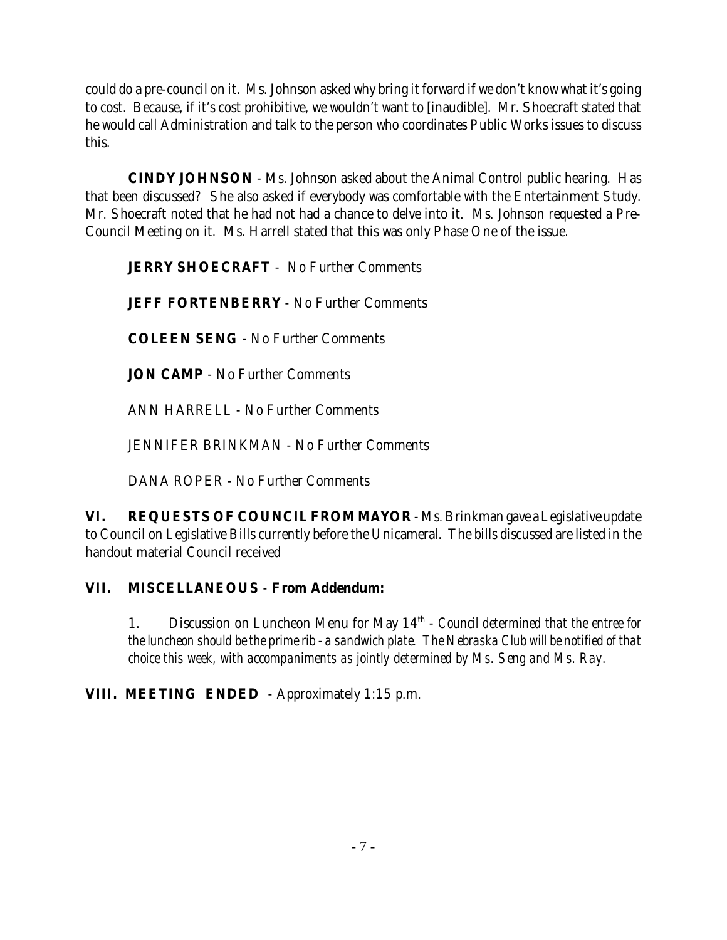could do a pre-council on it. Ms. Johnson asked why bring it forward if we don't know what it's going to cost. Because, if it's cost prohibitive, we wouldn't want to [inaudible]. Mr. Shoecraft stated that he would call Administration and talk to the person who coordinates Public Works issues to discuss this.

**CINDY JOHNSON** - Ms. Johnson asked about the Animal Control public hearing. Has that been discussed? She also asked if everybody was comfortable with the Entertainment Study. Mr. Shoecraft noted that he had not had a chance to delve into it. Ms. Johnson requested a Pre-Council Meeting on it. Ms. Harrell stated that this was only Phase One of the issue.

**JERRY SHOECRAFT** - No Further Comments

**JEFF FORTENBERRY** - No Further Comments

**COLEEN SENG** - No Further Comments

**JON CAMP** - No Further Comments

ANN HARRELL - No Further Comments

JENNIFER BRINKMAN - No Further Comments

DANA ROPER - No Further Comments

**VI. REQUESTS OF COUNCIL FROM MAYOR** - Ms. Brinkman gave a Legislative update to Council on Legislative Bills currently before the Unicameral. The bills discussed are listed in the handout material Council received

# **VII. MISCELLANEOUS** - **From Addendum:**

1. Discussion on Luncheon Menu for May 14th - *Council determined that the entree for the luncheon should be the prime rib - a sandwich plate. The Nebraska Club will be notified of that choice this week, with accompaniments as jointly determined by Ms. Seng and Ms. Ray.*

**VIII. MEETING ENDED** - Approximately 1:15 p.m.